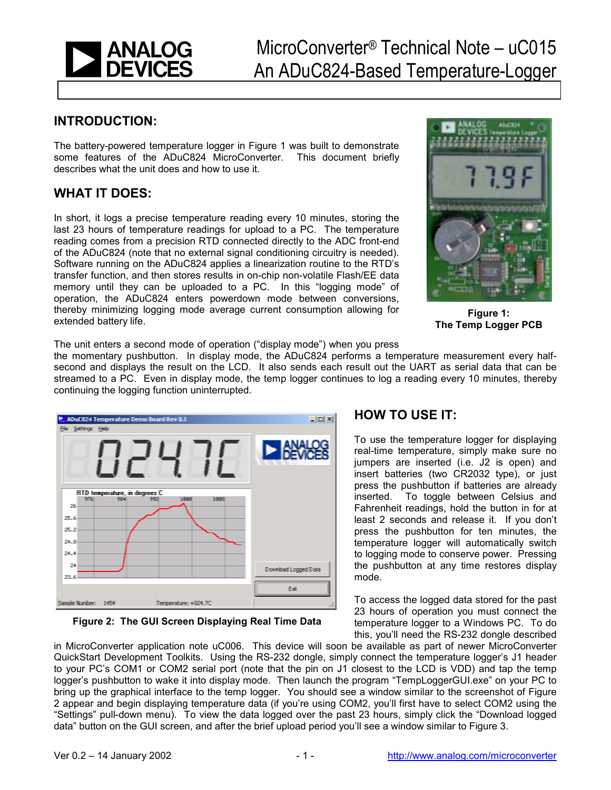

#### **INTRODUCTION:**

The battery-powered temperature logger in Figure 1 was built to demonstrate some features of the ADuC824 MicroConverter. This document briefly describes what the unit does and how to use it.

### **WHAT IT DOES:**

In short, it logs a precise temperature reading every 10 minutes, storing the last 23 hours of temperature readings for upload to a PC. The temperature reading comes from a precision RTD connected directly to the ADC front-end of the ADuC824 (note that no external signal conditioning circuitry is needed). Software running on the ADuC824 applies a linearization routine to the RTD's transfer function, and then stores results in on-chip non-volatile Flash/EE data memory until they can be uploaded to a PC. In this "logging mode" of operation, the ADuC824 enters powerdown mode between conversions, thereby minimizing logging mode average current consumption allowing for extended battery life.



**Figure 1: The Temp Logger PCB** 

The unit enters a second mode of operation ("display mode") when you press

the momentary pushbutton. In display mode, the ADuC824 performs a temperature measurement every halfsecond and displays the result on the LCD. It also sends each result out the UART as serial data that can be streamed to a PC. Even in display mode, the temp logger continues to log a reading every 10 minutes, thereby continuing the logging function uninterrupted.



**Figure 2: The GUI Screen Displaying Real Time Data** 

### **HOW TO USE IT:**

To use the temperature logger for displaying real-time temperature, simply make sure no jumpers are inserted (i.e. J2 is open) and insert batteries (two CR2032 type), or just press the pushbutton if batteries are already inserted. To toggle between Celsius and Fahrenheit readings, hold the button in for at least 2 seconds and release it. If you don't press the pushbutton for ten minutes, the temperature logger will automatically switch to logging mode to conserve power. Pressing the pushbutton at any time restores display mode.

To access the logged data stored for the past 23 hours of operation you must connect the temperature logger to a Windows PC. To do this, you'll need the RS-232 dongle described

in MicroConverter application note uC006. This device will soon be available as part of newer MicroConverter QuickStart Development Toolkits. Using the RS-232 dongle, simply connect the temperature logger's J1 header to your PCís COM1 or COM2 serial port (note that the pin on J1 closest to the LCD is VDD) and tap the temp logger's pushbutton to wake it into display mode. Then launch the program "TempLoggerGUI.exe" on your PC to bring up the graphical interface to the temp logger. You should see a window similar to the screenshot of Figure 2 appear and begin displaying temperature data (if you're using COM2, you'll first have to select COM2 using the ìSettingsî pull-down menu). To view the data logged over the past 23 hours, simply click the ìDownload logged data" button on the GUI screen, and after the brief upload period you'll see a window similar to Figure 3.